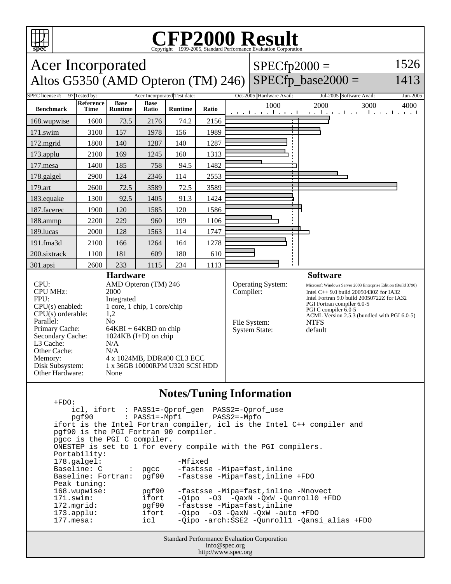

Primary Cache: 64KBI + 64KBD on chip Secondary Cache: 1024KB (I+D) on chip

Memory: 4 x 1024MB, DDR400 CL3 ECC Disk Subsystem: 1 x 36GB 10000RPM U320 SCSI HDD

L3 Cache: N/A Other Cache: N/A

Other Hardware: None

## **CFP2000 Result**

**spec** Copyright 1999-2005, Standard Performance Evaluation Corporation Acer Incorporated Altos G5350 (AMD Opteron (TM) 246) SPECfp\_base2000 =  $SPECfp2000 =$ 1526 1413 SPEC license #: 97 Tested by: Acer Incorporated Test date: Oct-2005 Hardware Avail: Jul-2005 Software Avail: Jun-2005 **Benchmark Reference Time Base Runtime Base Ratio Runtime Ratio** 1000 2000 3000 4000 168.wupwise 1600 73.5 2176 74.2 2156 171.swim | 3100 | 157 | 1978 | 156 | 1989 172.mgrid | 1800 | 140 | 1287 | 140 | 1287 173.applu | 2100 | 169 | 1245 | 160 | 1313 177. mesa | 1400 | 185 | 758 | 94.5 | 1482 178.galgel | 2900 | 124 | 2346 | 114 | 2553 179.art | 2600 | 72.5 | 3589 | 72.5 | 3589 183.equake 1300 92.5 1405 91.3 1424 187.facerec | 1900 | 120 | 1585 | 120 | 1586 188.ammp | 2200 | 229 | 960 | 199 | 1106 189.lucas | 2000 | 128 | 1563 | 114 | 1747 191.fma3d | 2100 | 166 | 1264 | 164 | 1278 200.sixtrack 1100 181 609 180 610 301.apsi 2600 233 1115 234 1113 **Hardware** CPU: AMD Opteron (TM) 246 CPU MHz: 2000 FPU: Integrated  $CPU(s)$  enabled:  $1$  core, 1 chip, 1 core/chip  $CPU(s)$  orderable:  $1,2$  $CPU(s)$  orderable: Parallel: No **Software** Operating System: Microsoft Windows Server 2003 Enterprise Edition (Build 3790) Compiler: Intel C $++ 9.0$  build 20050430Z for IA32 Intel Fortran 9.0 build 20050722Z for IA32 PGI Fortran compiler 6.0-5 PGI C compiler 6.0-5 ACML Version 2.5.3 (bundled with PGI 6.0-5) File System: NTFS

## **Notes/Tuning Information**

System State: default

Standard Performance Evaluation Corporation +FDO: icl, ifort : PASS1=-Qprof\_gen PASS2=-Qprof\_use  $pgf90$  :  $PASS1=-Mpfi$  ifort is the Intel Fortran compiler, icl is the Intel C++ compiler and pgf90 is the PGI Fortran 90 compiler. pgcc is the PGI C compiler. ONESTEP is set to 1 for every compile with the PGI compilers. Portability: 178.galgel: - Mfixed Baseline: C : pgcc -fastsse -Mipa=fast,inline<br>Baseline: Fortran: pgf90 -fastsse -Mipa=fast,inline pgf90 -fastsse -Mipa=fast,inline +FDO Peak tuning:<br>168.wupwise: 168.wupwise: pgf90 -fastsse -Mipa=fast,inline -Mnovect 171.swim: ifort -Qipo -O3 -QaxN -QxW -Qunroll0 +FDO<br>172.mgrid: pgf90 -fastsse -Mipa=fast,inline -fastsse -Mipa=fast, inline 173.applu: ifort -Qipo -O3 -QaxN -QxW -auto +FDO 177.mesa: icl -Qipo -arch:SSE2 -Qunroll1 -Qansi\_alias +FDO

```
info@spec.org
http://www.spec.org
```